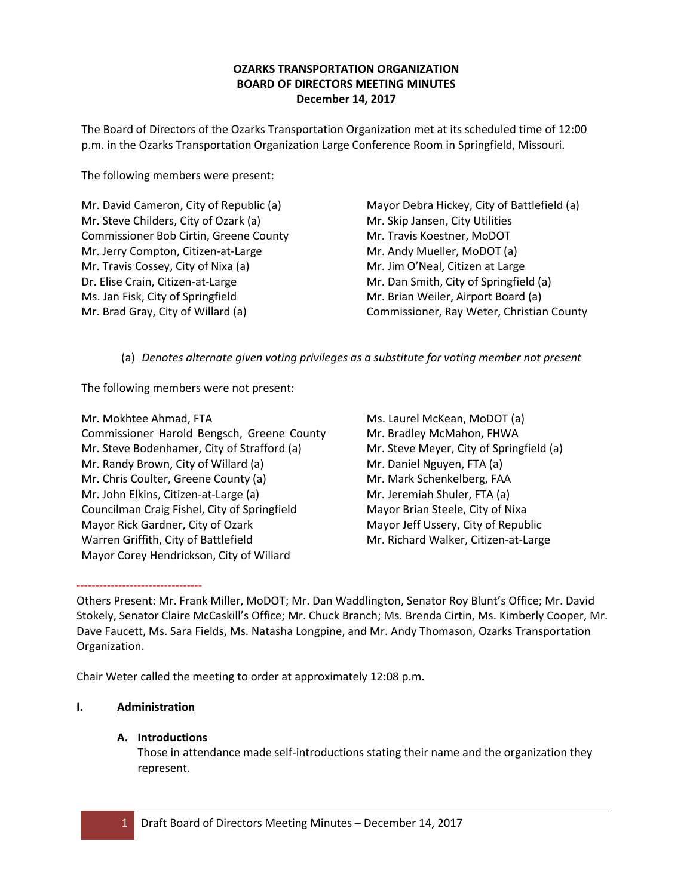# **OZARKS TRANSPORTATION ORGANIZATION BOARD OF DIRECTORS MEETING MINUTES December 14, 2017**

The Board of Directors of the Ozarks Transportation Organization met at its scheduled time of 12:00 p.m. in the Ozarks Transportation Organization Large Conference Room in Springfield, Missouri.

The following members were present:

Mr. David Cameron, City of Republic (a) Mr. Steve Childers, City of Ozark (a) Commissioner Bob Cirtin, Greene County Mr. Jerry Compton, Citizen-at-Large Mr. Travis Cossey, City of Nixa (a) Dr. Elise Crain, Citizen-at-Large Ms. Jan Fisk, City of Springfield Mr. Brad Gray, City of Willard (a)

Mayor Debra Hickey, City of Battlefield (a) Mr. Skip Jansen, City Utilities Mr. Travis Koestner, MoDOT Mr. Andy Mueller, MoDOT (a) Mr. Jim O'Neal, Citizen at Large Mr. Dan Smith, City of Springfield (a) Mr. Brian Weiler, Airport Board (a) Commissioner, Ray Weter, Christian County

(a) *Denotes alternate given voting privileges as a substitute for voting member not present*

The following members were not present:

Mr. Mokhtee Ahmad, FTA Commissioner Harold Bengsch, Greene County Mr. Steve Bodenhamer, City of Strafford (a) Mr. Randy Brown, City of Willard (a) Mr. Chris Coulter, Greene County (a) Mr. John Elkins, Citizen-at-Large (a) Councilman Craig Fishel, City of Springfield Mayor Rick Gardner, City of Ozark Warren Griffith, City of Battlefield Mayor Corey Hendrickson, City of Willard

Ms. Laurel McKean, MoDOT (a) Mr. Bradley McMahon, FHWA Mr. Steve Meyer, City of Springfield (a) Mr. Daniel Nguyen, FTA (a) Mr. Mark Schenkelberg, FAA Mr. Jeremiah Shuler, FTA (a) Mayor Brian Steele, City of Nixa Mayor Jeff Ussery, City of Republic Mr. Richard Walker, Citizen-at-Large

Others Present: Mr. Frank Miller, MoDOT; Mr. Dan Waddlington, Senator Roy Blunt's Office; Mr. David Stokely, Senator Claire McCaskill's Office; Mr. Chuck Branch; Ms. Brenda Cirtin, Ms. Kimberly Cooper, Mr. Dave Faucett, Ms. Sara Fields, Ms. Natasha Longpine, and Mr. Andy Thomason, Ozarks Transportation Organization.

Chair Weter called the meeting to order at approximately 12:08 p.m.

# **I. Administration**

---------------------------------

# **A. Introductions**

Those in attendance made self-introductions stating their name and the organization they represent.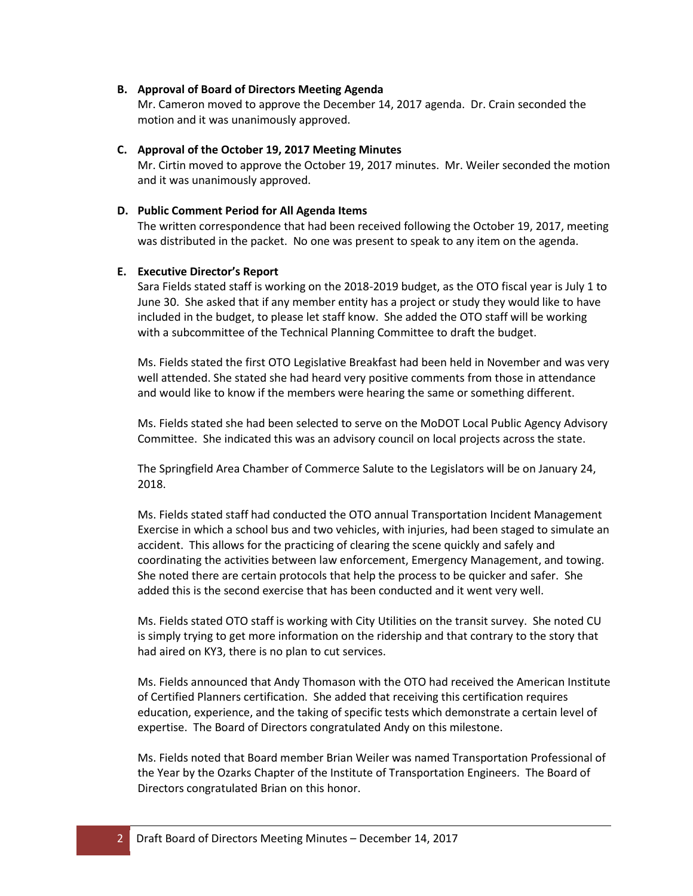#### **B. Approval of Board of Directors Meeting Agenda**

Mr. Cameron moved to approve the December 14, 2017 agenda. Dr. Crain seconded the motion and it was unanimously approved.

## **C. Approval of the October 19, 2017 Meeting Minutes**

Mr. Cirtin moved to approve the October 19, 2017 minutes. Mr. Weiler seconded the motion and it was unanimously approved.

## **D. Public Comment Period for All Agenda Items**

The written correspondence that had been received following the October 19, 2017, meeting was distributed in the packet. No one was present to speak to any item on the agenda.

## **E. Executive Director's Report**

Sara Fields stated staff is working on the 2018-2019 budget, as the OTO fiscal year is July 1 to June 30. She asked that if any member entity has a project or study they would like to have included in the budget, to please let staff know. She added the OTO staff will be working with a subcommittee of the Technical Planning Committee to draft the budget.

Ms. Fields stated the first OTO Legislative Breakfast had been held in November and was very well attended. She stated she had heard very positive comments from those in attendance and would like to know if the members were hearing the same or something different.

Ms. Fields stated she had been selected to serve on the MoDOT Local Public Agency Advisory Committee. She indicated this was an advisory council on local projects across the state.

The Springfield Area Chamber of Commerce Salute to the Legislators will be on January 24, 2018.

Ms. Fields stated staff had conducted the OTO annual Transportation Incident Management Exercise in which a school bus and two vehicles, with injuries, had been staged to simulate an accident. This allows for the practicing of clearing the scene quickly and safely and coordinating the activities between law enforcement, Emergency Management, and towing. She noted there are certain protocols that help the process to be quicker and safer. She added this is the second exercise that has been conducted and it went very well.

Ms. Fields stated OTO staff is working with City Utilities on the transit survey. She noted CU is simply trying to get more information on the ridership and that contrary to the story that had aired on KY3, there is no plan to cut services.

Ms. Fields announced that Andy Thomason with the OTO had received the American Institute of Certified Planners certification. She added that receiving this certification requires education, experience, and the taking of specific tests which demonstrate a certain level of expertise. The Board of Directors congratulated Andy on this milestone.

Ms. Fields noted that Board member Brian Weiler was named Transportation Professional of the Year by the Ozarks Chapter of the Institute of Transportation Engineers. The Board of Directors congratulated Brian on this honor.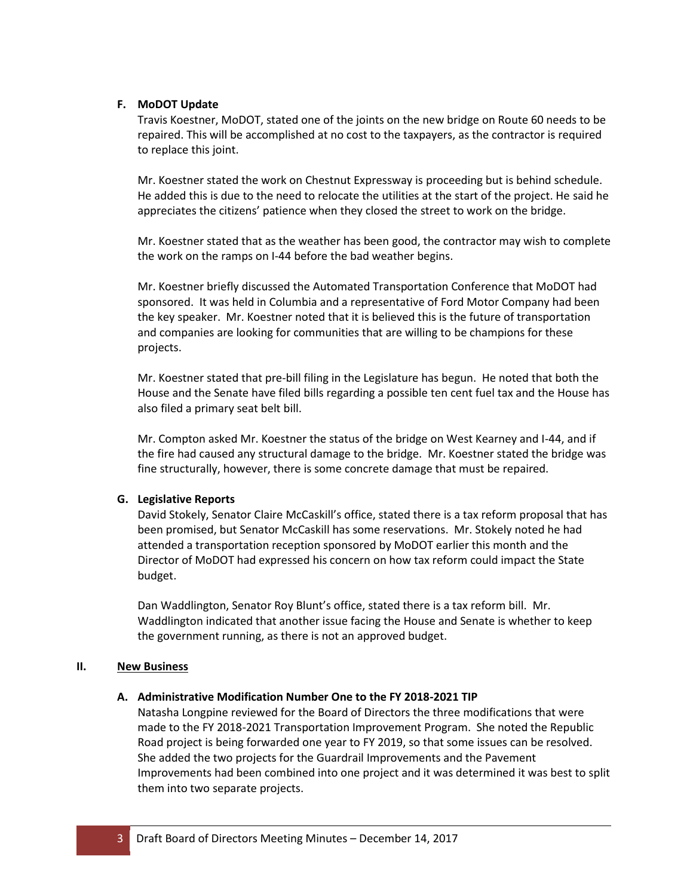## **F. MoDOT Update**

Travis Koestner, MoDOT, stated one of the joints on the new bridge on Route 60 needs to be repaired. This will be accomplished at no cost to the taxpayers, as the contractor is required to replace this joint.

Mr. Koestner stated the work on Chestnut Expressway is proceeding but is behind schedule. He added this is due to the need to relocate the utilities at the start of the project. He said he appreciates the citizens' patience when they closed the street to work on the bridge.

Mr. Koestner stated that as the weather has been good, the contractor may wish to complete the work on the ramps on I-44 before the bad weather begins.

Mr. Koestner briefly discussed the Automated Transportation Conference that MoDOT had sponsored. It was held in Columbia and a representative of Ford Motor Company had been the key speaker. Mr. Koestner noted that it is believed this is the future of transportation and companies are looking for communities that are willing to be champions for these projects.

Mr. Koestner stated that pre-bill filing in the Legislature has begun. He noted that both the House and the Senate have filed bills regarding a possible ten cent fuel tax and the House has also filed a primary seat belt bill.

Mr. Compton asked Mr. Koestner the status of the bridge on West Kearney and I-44, and if the fire had caused any structural damage to the bridge. Mr. Koestner stated the bridge was fine structurally, however, there is some concrete damage that must be repaired.

#### **G. Legislative Reports**

David Stokely, Senator Claire McCaskill's office, stated there is a tax reform proposal that has been promised, but Senator McCaskill has some reservations. Mr. Stokely noted he had attended a transportation reception sponsored by MoDOT earlier this month and the Director of MoDOT had expressed his concern on how tax reform could impact the State budget.

Dan Waddlington, Senator Roy Blunt's office, stated there is a tax reform bill. Mr. Waddlington indicated that another issue facing the House and Senate is whether to keep the government running, as there is not an approved budget.

#### **II. New Business**

#### **A. Administrative Modification Number One to the FY 2018-2021 TIP**

Natasha Longpine reviewed for the Board of Directors the three modifications that were made to the FY 2018-2021 Transportation Improvement Program. She noted the Republic Road project is being forwarded one year to FY 2019, so that some issues can be resolved. She added the two projects for the Guardrail Improvements and the Pavement Improvements had been combined into one project and it was determined it was best to split them into two separate projects.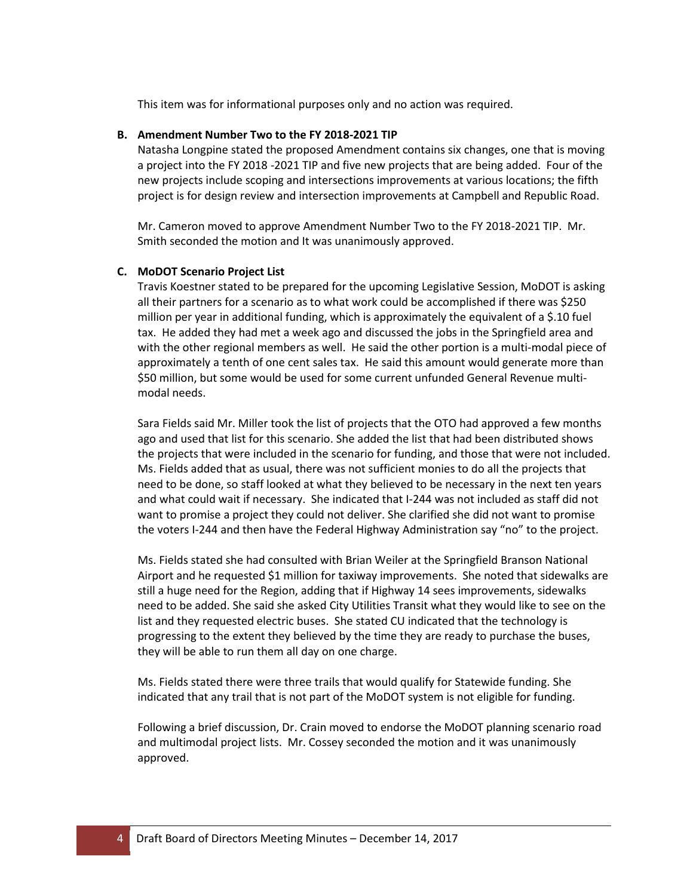This item was for informational purposes only and no action was required.

## **B. Amendment Number Two to the FY 2018-2021 TIP**

Natasha Longpine stated the proposed Amendment contains six changes, one that is moving a project into the FY 2018 -2021 TIP and five new projects that are being added. Four of the new projects include scoping and intersections improvements at various locations; the fifth project is for design review and intersection improvements at Campbell and Republic Road.

Mr. Cameron moved to approve Amendment Number Two to the FY 2018-2021 TIP. Mr. Smith seconded the motion and It was unanimously approved.

# **C. MoDOT Scenario Project List**

Travis Koestner stated to be prepared for the upcoming Legislative Session, MoDOT is asking all their partners for a scenario as to what work could be accomplished if there was \$250 million per year in additional funding, which is approximately the equivalent of a \$.10 fuel tax. He added they had met a week ago and discussed the jobs in the Springfield area and with the other regional members as well. He said the other portion is a multi-modal piece of approximately a tenth of one cent sales tax. He said this amount would generate more than \$50 million, but some would be used for some current unfunded General Revenue multimodal needs.

Sara Fields said Mr. Miller took the list of projects that the OTO had approved a few months ago and used that list for this scenario. She added the list that had been distributed shows the projects that were included in the scenario for funding, and those that were not included. Ms. Fields added that as usual, there was not sufficient monies to do all the projects that need to be done, so staff looked at what they believed to be necessary in the next ten years and what could wait if necessary. She indicated that I-244 was not included as staff did not want to promise a project they could not deliver. She clarified she did not want to promise the voters I-244 and then have the Federal Highway Administration say "no" to the project.

Ms. Fields stated she had consulted with Brian Weiler at the Springfield Branson National Airport and he requested \$1 million for taxiway improvements. She noted that sidewalks are still a huge need for the Region, adding that if Highway 14 sees improvements, sidewalks need to be added. She said she asked City Utilities Transit what they would like to see on the list and they requested electric buses. She stated CU indicated that the technology is progressing to the extent they believed by the time they are ready to purchase the buses, they will be able to run them all day on one charge.

Ms. Fields stated there were three trails that would qualify for Statewide funding. She indicated that any trail that is not part of the MoDOT system is not eligible for funding.

Following a brief discussion, Dr. Crain moved to endorse the MoDOT planning scenario road and multimodal project lists. Mr. Cossey seconded the motion and it was unanimously approved.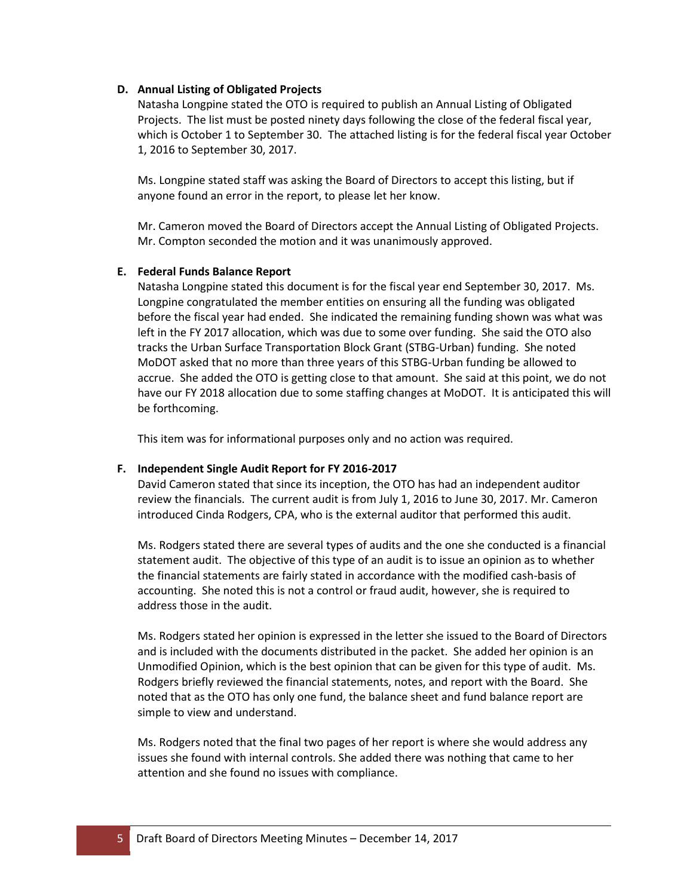## **D. Annual Listing of Obligated Projects**

Natasha Longpine stated the OTO is required to publish an Annual Listing of Obligated Projects. The list must be posted ninety days following the close of the federal fiscal year, which is October 1 to September 30. The attached listing is for the federal fiscal year October 1, 2016 to September 30, 2017.

Ms. Longpine stated staff was asking the Board of Directors to accept this listing, but if anyone found an error in the report, to please let her know.

Mr. Cameron moved the Board of Directors accept the Annual Listing of Obligated Projects. Mr. Compton seconded the motion and it was unanimously approved.

## **E. Federal Funds Balance Report**

Natasha Longpine stated this document is for the fiscal year end September 30, 2017. Ms. Longpine congratulated the member entities on ensuring all the funding was obligated before the fiscal year had ended. She indicated the remaining funding shown was what was left in the FY 2017 allocation, which was due to some over funding. She said the OTO also tracks the Urban Surface Transportation Block Grant (STBG-Urban) funding. She noted MoDOT asked that no more than three years of this STBG-Urban funding be allowed to accrue. She added the OTO is getting close to that amount. She said at this point, we do not have our FY 2018 allocation due to some staffing changes at MoDOT. It is anticipated this will be forthcoming.

This item was for informational purposes only and no action was required.

# **F. Independent Single Audit Report for FY 2016-2017**

David Cameron stated that since its inception, the OTO has had an independent auditor review the financials. The current audit is from July 1, 2016 to June 30, 2017. Mr. Cameron introduced Cinda Rodgers, CPA, who is the external auditor that performed this audit.

Ms. Rodgers stated there are several types of audits and the one she conducted is a financial statement audit. The objective of this type of an audit is to issue an opinion as to whether the financial statements are fairly stated in accordance with the modified cash-basis of accounting. She noted this is not a control or fraud audit, however, she is required to address those in the audit.

Ms. Rodgers stated her opinion is expressed in the letter she issued to the Board of Directors and is included with the documents distributed in the packet. She added her opinion is an Unmodified Opinion, which is the best opinion that can be given for this type of audit. Ms. Rodgers briefly reviewed the financial statements, notes, and report with the Board. She noted that as the OTO has only one fund, the balance sheet and fund balance report are simple to view and understand.

Ms. Rodgers noted that the final two pages of her report is where she would address any issues she found with internal controls. She added there was nothing that came to her attention and she found no issues with compliance.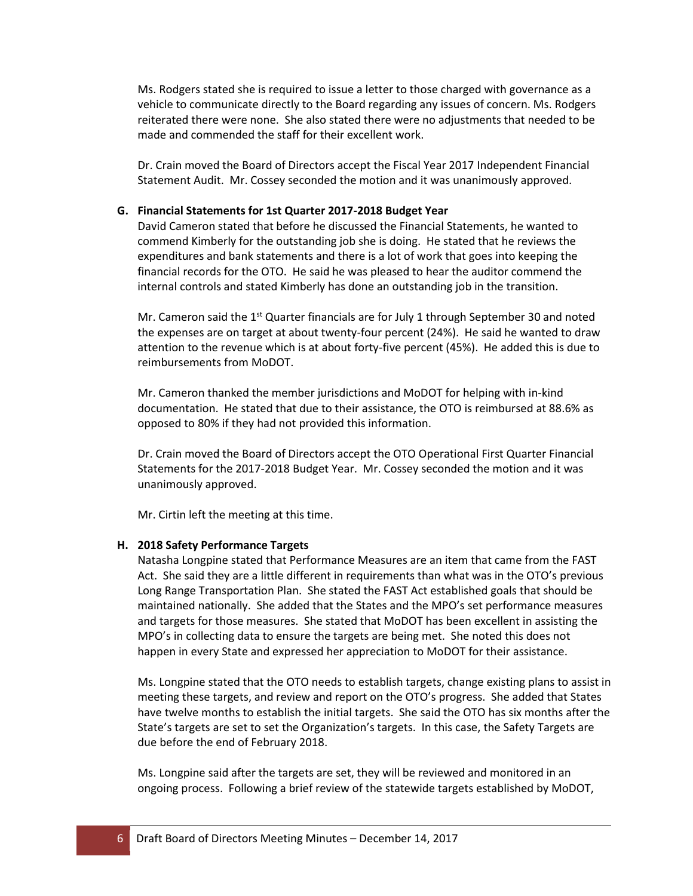Ms. Rodgers stated she is required to issue a letter to those charged with governance as a vehicle to communicate directly to the Board regarding any issues of concern. Ms. Rodgers reiterated there were none. She also stated there were no adjustments that needed to be made and commended the staff for their excellent work.

Dr. Crain moved the Board of Directors accept the Fiscal Year 2017 Independent Financial Statement Audit. Mr. Cossey seconded the motion and it was unanimously approved.

#### **G. Financial Statements for 1st Quarter 2017-2018 Budget Year**

David Cameron stated that before he discussed the Financial Statements, he wanted to commend Kimberly for the outstanding job she is doing. He stated that he reviews the expenditures and bank statements and there is a lot of work that goes into keeping the financial records for the OTO. He said he was pleased to hear the auditor commend the internal controls and stated Kimberly has done an outstanding job in the transition.

Mr. Cameron said the 1<sup>st</sup> Quarter financials are for July 1 through September 30 and noted the expenses are on target at about twenty-four percent (24%). He said he wanted to draw attention to the revenue which is at about forty-five percent (45%). He added this is due to reimbursements from MoDOT.

Mr. Cameron thanked the member jurisdictions and MoDOT for helping with in-kind documentation. He stated that due to their assistance, the OTO is reimbursed at 88.6% as opposed to 80% if they had not provided this information.

Dr. Crain moved the Board of Directors accept the OTO Operational First Quarter Financial Statements for the 2017-2018 Budget Year. Mr. Cossey seconded the motion and it was unanimously approved.

Mr. Cirtin left the meeting at this time.

# **H. 2018 Safety Performance Targets**

Natasha Longpine stated that Performance Measures are an item that came from the FAST Act. She said they are a little different in requirements than what was in the OTO's previous Long Range Transportation Plan.She stated the FAST Act established goals that should be maintained nationally. She added that the States and the MPO's set performance measures and targets for those measures. She stated that MoDOT has been excellent in assisting the MPO's in collecting data to ensure the targets are being met. She noted this does not happen in every State and expressed her appreciation to MoDOT for their assistance.

Ms. Longpine stated that the OTO needs to establish targets, change existing plans to assist in meeting these targets, and review and report on the OTO's progress. She added that States have twelve months to establish the initial targets. She said the OTO has six months after the State's targets are set to set the Organization's targets. In this case, the Safety Targets are due before the end of February 2018.

Ms. Longpine said after the targets are set, they will be reviewed and monitored in an ongoing process. Following a brief review of the statewide targets established by MoDOT,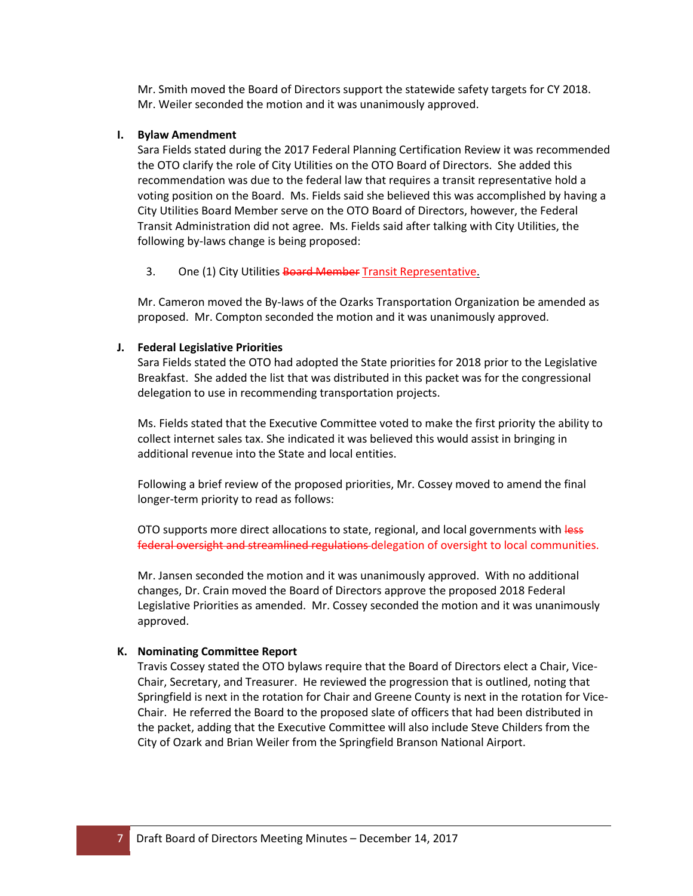Mr. Smith moved the Board of Directors support the statewide safety targets for CY 2018. Mr. Weiler seconded the motion and it was unanimously approved.

#### **I. Bylaw Amendment**

Sara Fields stated during the 2017 Federal Planning Certification Review it was recommended the OTO clarify the role of City Utilities on the OTO Board of Directors. She added this recommendation was due to the federal law that requires a transit representative hold a voting position on the Board. Ms. Fields said she believed this was accomplished by having a City Utilities Board Member serve on the OTO Board of Directors, however, the Federal Transit Administration did not agree. Ms. Fields said after talking with City Utilities, the following by-laws change is being proposed:

3. One (1) City Utilities Board Member Transit Representative.

Mr. Cameron moved the By-laws of the Ozarks Transportation Organization be amended as proposed. Mr. Compton seconded the motion and it was unanimously approved.

# **J. Federal Legislative Priorities**

Sara Fields stated the OTO had adopted the State priorities for 2018 prior to the Legislative Breakfast. She added the list that was distributed in this packet was for the congressional delegation to use in recommending transportation projects.

Ms. Fields stated that the Executive Committee voted to make the first priority the ability to collect internet sales tax. She indicated it was believed this would assist in bringing in additional revenue into the State and local entities.

Following a brief review of the proposed priorities, Mr. Cossey moved to amend the final longer-term priority to read as follows:

OTO supports more direct allocations to state, regional, and local governments with less federal oversight and streamlined regulations delegation of oversight to local communities.

Mr. Jansen seconded the motion and it was unanimously approved. With no additional changes, Dr. Crain moved the Board of Directors approve the proposed 2018 Federal Legislative Priorities as amended. Mr. Cossey seconded the motion and it was unanimously approved.

# **K. Nominating Committee Report**

Travis Cossey stated the OTO bylaws require that the Board of Directors elect a Chair, Vice-Chair, Secretary, and Treasurer. He reviewed the progression that is outlined, noting that Springfield is next in the rotation for Chair and Greene County is next in the rotation for Vice-Chair. He referred the Board to the proposed slate of officers that had been distributed in the packet, adding that the Executive Committee will also include Steve Childers from the City of Ozark and Brian Weiler from the Springfield Branson National Airport.